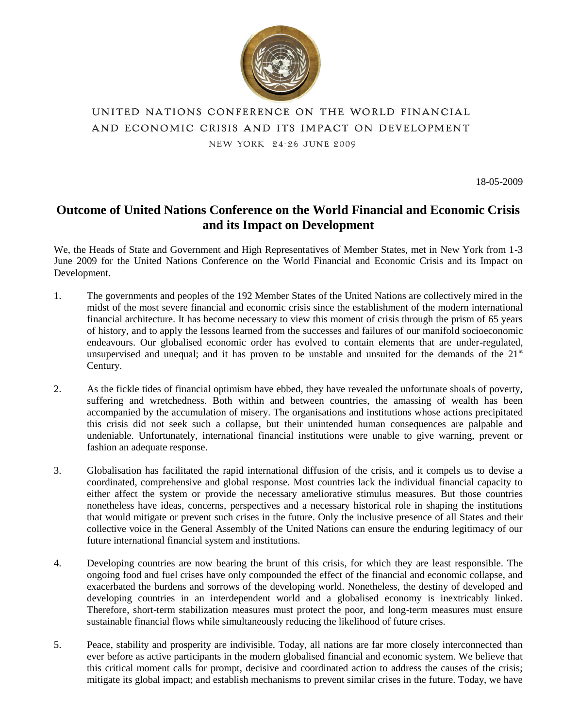

# UNITED NATIONS CONFERENCE ON THE WORLD FINANCIAL AND ECONOMIC CRISIS AND ITS IMPACT ON DEVELOPMENT NEW YORK 24-26 JUNE 2009

18-05-2009

## **Outcome of United Nations Conference on the World Financial and Economic Crisis and its Impact on Development**

We, the Heads of State and Government and High Representatives of Member States, met in New York from 1-3 June 2009 for the United Nations Conference on the World Financial and Economic Crisis and its Impact on Development.

- 1. The governments and peoples of the 192 Member States of the United Nations are collectively mired in the midst of the most severe financial and economic crisis since the establishment of the modern international financial architecture. It has become necessary to view this moment of crisis through the prism of 65 years of history, and to apply the lessons learned from the successes and failures of our manifold socioeconomic endeavours. Our globalised economic order has evolved to contain elements that are under-regulated, unsupervised and unequal; and it has proven to be unstable and unsuited for the demands of the  $21<sup>st</sup>$ Century.
- 2. As the fickle tides of financial optimism have ebbed, they have revealed the unfortunate shoals of poverty, suffering and wretchedness. Both within and between countries, the amassing of wealth has been accompanied by the accumulation of misery. The organisations and institutions whose actions precipitated this crisis did not seek such a collapse, but their unintended human consequences are palpable and undeniable. Unfortunately, international financial institutions were unable to give warning, prevent or fashion an adequate response.
- 3. Globalisation has facilitated the rapid international diffusion of the crisis, and it compels us to devise a coordinated, comprehensive and global response. Most countries lack the individual financial capacity to either affect the system or provide the necessary ameliorative stimulus measures. But those countries nonetheless have ideas, concerns, perspectives and a necessary historical role in shaping the institutions that would mitigate or prevent such crises in the future. Only the inclusive presence of all States and their collective voice in the General Assembly of the United Nations can ensure the enduring legitimacy of our future international financial system and institutions.
- 4. Developing countries are now bearing the brunt of this crisis, for which they are least responsible. The ongoing food and fuel crises have only compounded the effect of the financial and economic collapse, and exacerbated the burdens and sorrows of the developing world. Nonetheless, the destiny of developed and developing countries in an interdependent world and a globalised economy is inextricably linked. Therefore, short-term stabilization measures must protect the poor, and long-term measures must ensure sustainable financial flows while simultaneously reducing the likelihood of future crises.
- 5. Peace, stability and prosperity are indivisible. Today, all nations are far more closely interconnected than ever before as active participants in the modern globalised financial and economic system. We believe that this critical moment calls for prompt, decisive and coordinated action to address the causes of the crisis; mitigate its global impact; and establish mechanisms to prevent similar crises in the future. Today, we have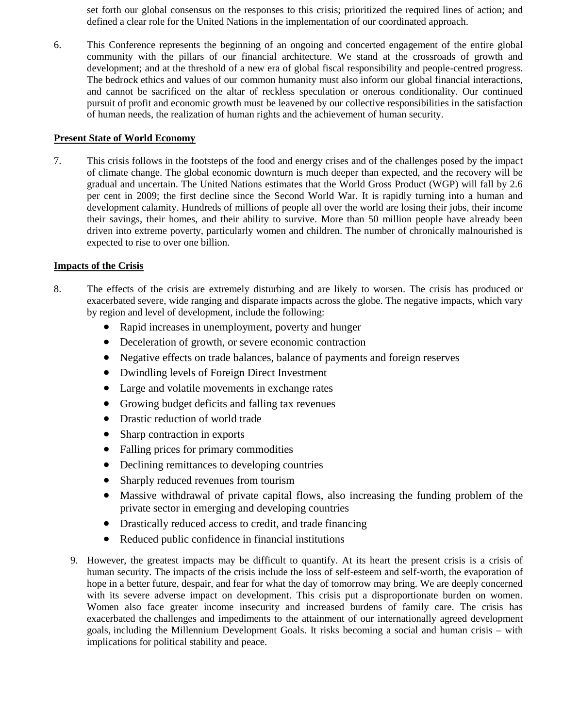set forth our global consensus on the responses to this crisis; prioritized the required lines of action; and defined a clear role for the United Nations in the implementation of our coordinated approach.

6. This Conference represents the beginning of an ongoing and concerted engagement of the entire global community with the pillars of our financial architecture. We stand at the crossroads of growth and development; and at the threshold of a new era of global fiscal responsibility and people-centred progress. The bedrock ethics and values of our common humanity must also inform our global financial interactions, and cannot be sacrificed on the altar of reckless speculation or onerous conditionality. Our continued pursuit of profit and economic growth must be leavened by our collective responsibilities in the satisfaction of human needs, the realization of human rights and the achievement of human security.

#### **Present State of World Economy**

7. This crisis follows in the footsteps of the food and energy crises and of the challenges posed by the impact of climate change. The global economic downturn is much deeper than expected, and the recovery will be gradual and uncertain. The United Nations estimates that the World Gross Product (WGP) will fall by 2.6 per cent in 2009; the first decline since the Second World War. It is rapidly turning into a human and development calamity. Hundreds of millions of people all over the world are losing their jobs, their income their savings, their homes, and their ability to survive. More than 50 million people have already been driven into extreme poverty, particularly women and children. The number of chronically malnourished is expected to rise to over one billion.

## **Impacts of the Crisis**

- 8. The effects of the crisis are extremely disturbing and are likely to worsen. The crisis has produced or exacerbated severe, wide ranging and disparate impacts across the globe. The negative impacts, which vary by region and level of development, include the following:
	- Rapid increases in unemployment, poverty and hunger
	- Deceleration of growth, or severe economic contraction
	- Negative effects on trade balances, balance of payments and foreign reserves
	- Dwindling levels of Foreign Direct Investment
	- Large and volatile movements in exchange rates
	- Growing budget deficits and falling tax revenues
	- Drastic reduction of world trade
	- Sharp contraction in exports
	- Falling prices for primary commodities
	- Declining remittances to developing countries
	- Sharply reduced revenues from tourism
	- Massive withdrawal of private capital flows, also increasing the funding problem of the private sector in emerging and developing countries
	- Drastically reduced access to credit, and trade financing
	- Reduced public confidence in financial institutions
	- 9. However, the greatest impacts may be difficult to quantify. At its heart the present crisis is a crisis of human security. The impacts of the crisis include the loss of self-esteem and self-worth, the evaporation of hope in a better future, despair, and fear for what the day of tomorrow may bring. We are deeply concerned with its severe adverse impact on development. This crisis put a disproportionate burden on women. Women also face greater income insecurity and increased burdens of family care. The crisis has exacerbated the challenges and impediments to the attainment of our internationally agreed development goals, including the Millennium Development Goals. It risks becoming a social and human crisis – with implications for political stability and peace.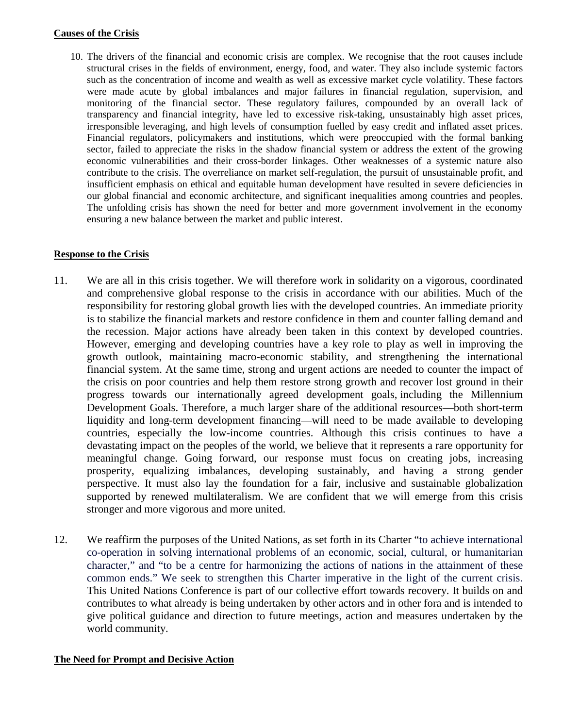## **Causes of the Crisis**

10. The drivers of the financial and economic crisis are complex. We recognise that the root causes include structural crises in the fields of environment, energy, food, and water. They also include systemic factors such as the concentration of income and wealth as well as excessive market cycle volatility. These factors were made acute by global imbalances and major failures in financial regulation, supervision, and monitoring of the financial sector. These regulatory failures, compounded by an overall lack of transparency and financial integrity, have led to excessive risk-taking, unsustainably high asset prices, irresponsible leveraging, and high levels of consumption fuelled by easy credit and inflated asset prices. Financial regulators, policymakers and institutions, which were preoccupied with the formal banking sector, failed to appreciate the risks in the shadow financial system or address the extent of the growing economic vulnerabilities and their cross-border linkages. Other weaknesses of a systemic nature also contribute to the crisis. The overreliance on market self-regulation, the pursuit of unsustainable profit, and insufficient emphasis on ethical and equitable human development have resulted in severe deficiencies in our global financial and economic architecture, and significant inequalities among countries and peoples. The unfolding crisis has shown the need for better and more government involvement in the economy ensuring a new balance between the market and public interest.

## **Response to the Crisis**

- 11. We are all in this crisis together. We will therefore work in solidarity on a vigorous, coordinated and comprehensive global response to the crisis in accordance with our abilities. Much of the responsibility for restoring global growth lies with the developed countries. An immediate priority is to stabilize the financial markets and restore confidence in them and counter falling demand and the recession. Major actions have already been taken in this context by developed countries. However, emerging and developing countries have a key role to play as well in improving the growth outlook, maintaining macro-economic stability, and strengthening the international financial system. At the same time, strong and urgent actions are needed to counter the impact of the crisis on poor countries and help them restore strong growth and recover lost ground in their progress towards our internationally agreed development goals, including the Millennium Development Goals. Therefore, a much larger share of the additional resources—both short-term liquidity and long-term development financing—will need to be made available to developing countries, especially the low-income countries. Although this crisis continues to have a devastating impact on the peoples of the world, we believe that it represents a rare opportunity for meaningful change. Going forward, our response must focus on creating jobs, increasing prosperity, equalizing imbalances, developing sustainably, and having a strong gender perspective. It must also lay the foundation for a fair, inclusive and sustainable globalization supported by renewed multilateralism. We are confident that we will emerge from this crisis stronger and more vigorous and more united.
- 12. We reaffirm the purposes of the United Nations, as set forth in its Charter "to achieve international co-operation in solving international problems of an economic, social, cultural, or humanitarian character," and "to be a centre for harmonizing the actions of nations in the attainment of these common ends." We seek to strengthen this Charter imperative in the light of the current crisis. This United Nations Conference is part of our collective effort towards recovery. It builds on and contributes to what already is being undertaken by other actors and in other fora and is intended to give political guidance and direction to future meetings, action and measures undertaken by the world community.

## **The Need for Prompt and Decisive Action**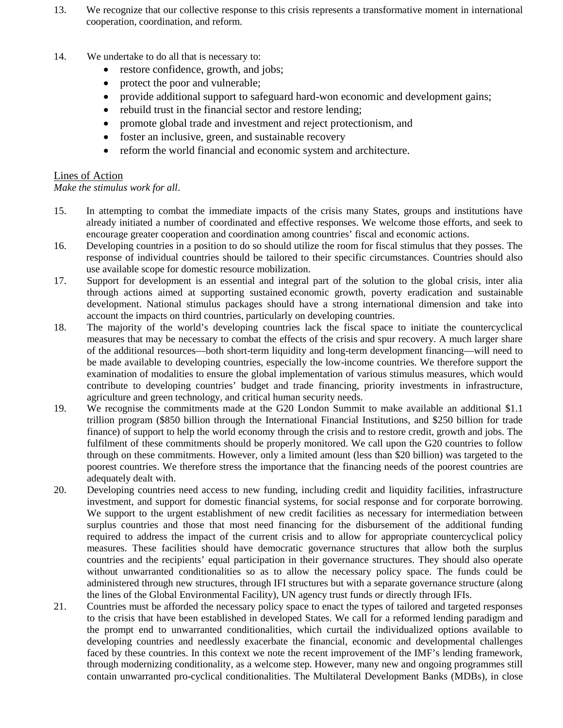- 13. We recognize that our collective response to this crisis represents a transformative moment in international cooperation, coordination, and reform.
- 14. We undertake to do all that is necessary to:
	- restore confidence, growth, and jobs;
	- protect the poor and vulnerable;
	- provide additional support to safeguard hard-won economic and development gains;
	- rebuild trust in the financial sector and restore lending;
	- promote global trade and investment and reject protectionism, and
	- foster an inclusive, green, and sustainable recovery
	- reform the world financial and economic system and architecture.

## Lines of Action

*Make the stimulus work for all*.

- 15. In attempting to combat the immediate impacts of the crisis many States, groups and institutions have already initiated a number of coordinated and effective responses. We welcome those efforts, and seek to encourage greater cooperation and coordination among countries' fiscal and economic actions.
- 16. Developing countries in a position to do so should utilize the room for fiscal stimulus that they posses. The response of individual countries should be tailored to their specific circumstances. Countries should also use available scope for domestic resource mobilization.
- 17. Support for development is an essential and integral part of the solution to the global crisis, inter alia through actions aimed at supporting sustained economic growth, poverty eradication and sustainable development. National stimulus packages should have a strong international dimension and take into account the impacts on third countries, particularly on developing countries.
- 18. The majority of the world's developing countries lack the fiscal space to initiate the countercyclical measures that may be necessary to combat the effects of the crisis and spur recovery. A much larger share of the additional resources—both short-term liquidity and long-term development financing—will need to be made available to developing countries, especially the low-income countries. We therefore support the examination of modalities to ensure the global implementation of various stimulus measures, which would contribute to developing countries' budget and trade financing, priority investments in infrastructure, agriculture and green technology, and critical human security needs.
- 19. We recognise the commitments made at the G20 London Summit to make available an additional \$1.1 trillion program (\$850 billion through the International Financial Institutions, and \$250 billion for trade finance) of support to help the world economy through the crisis and to restore credit, growth and jobs. The fulfilment of these commitments should be properly monitored. We call upon the G20 countries to follow through on these commitments. However, only a limited amount (less than \$20 billion) was targeted to the poorest countries. We therefore stress the importance that the financing needs of the poorest countries are adequately dealt with.
- 20. Developing countries need access to new funding, including credit and liquidity facilities, infrastructure investment, and support for domestic financial systems, for social response and for corporate borrowing. We support to the urgent establishment of new credit facilities as necessary for intermediation between surplus countries and those that most need financing for the disbursement of the additional funding required to address the impact of the current crisis and to allow for appropriate countercyclical policy measures. These facilities should have democratic governance structures that allow both the surplus countries and the recipients' equal participation in their governance structures. They should also operate without unwarranted conditionalities so as to allow the necessary policy space. The funds could be administered through new structures, through IFI structures but with a separate governance structure (along the lines of the Global Environmental Facility), UN agency trust funds or directly through IFIs.
- 21. Countries must be afforded the necessary policy space to enact the types of tailored and targeted responses to the crisis that have been established in developed States. We call for a reformed lending paradigm and the prompt end to unwarranted conditionalities, which curtail the individualized options available to developing countries and needlessly exacerbate the financial, economic and developmental challenges faced by these countries. In this context we note the recent improvement of the IMF's lending framework, through modernizing conditionality, as a welcome step. However, many new and ongoing programmes still contain unwarranted pro-cyclical conditionalities. The Multilateral Development Banks (MDBs), in close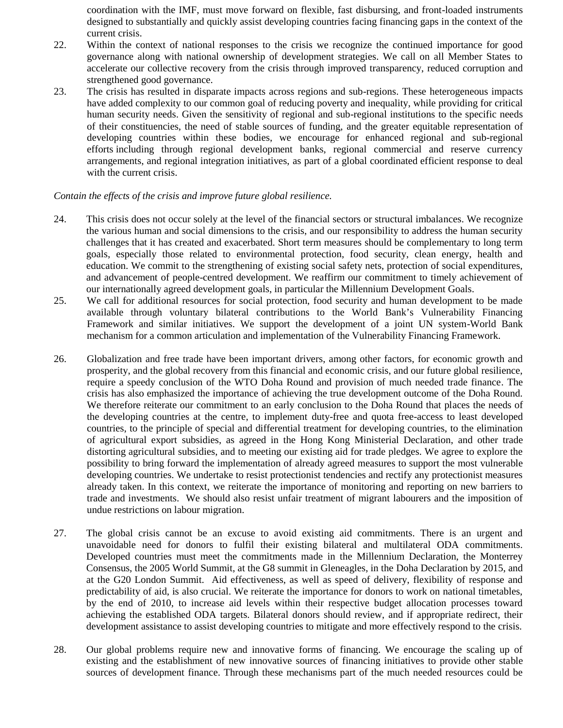coordination with the IMF, must move forward on flexible, fast disbursing, and front-loaded instruments designed to substantially and quickly assist developing countries facing financing gaps in the context of the current crisis.

- 22. Within the context of national responses to the crisis we recognize the continued importance for good governance along with national ownership of development strategies. We call on all Member States to accelerate our collective recovery from the crisis through improved transparency, reduced corruption and strengthened good governance.
- 23. The crisis has resulted in disparate impacts across regions and sub-regions. These heterogeneous impacts have added complexity to our common goal of reducing poverty and inequality, while providing for critical human security needs. Given the sensitivity of regional and sub-regional institutions to the specific needs of their constituencies, the need of stable sources of funding, and the greater equitable representation of developing countries within these bodies, we encourage for enhanced regional and sub-regional efforts including through regional development banks, regional commercial and reserve currency arrangements, and regional integration initiatives, as part of a global coordinated efficient response to deal with the current crisis.

#### *Contain the effects of the crisis and improve future global resilience.*

- 24. This crisis does not occur solely at the level of the financial sectors or structural imbalances. We recognize the various human and social dimensions to the crisis, and our responsibility to address the human security challenges that it has created and exacerbated. Short term measures should be complementary to long term goals, especially those related to environmental protection, food security, clean energy, health and education. We commit to the strengthening of existing social safety nets, protection of social expenditures, and advancement of people-centred development. We reaffirm our commitment to timely achievement of our internationally agreed development goals, in particular the Millennium Development Goals.
- 25. We call for additional resources for social protection, food security and human development to be made available through voluntary bilateral contributions to the World Bank's Vulnerability Financing Framework and similar initiatives. We support the development of a joint UN system-World Bank mechanism for a common articulation and implementation of the Vulnerability Financing Framework.
- 26. Globalization and free trade have been important drivers, among other factors, for economic growth and prosperity, and the global recovery from this financial and economic crisis, and our future global resilience, require a speedy conclusion of the WTO Doha Round and provision of much needed trade finance. The crisis has also emphasized the importance of achieving the true development outcome of the Doha Round. We therefore reiterate our commitment to an early conclusion to the Doha Round that places the needs of the developing countries at the centre, to implement duty-free and quota free-access to least developed countries, to the principle of special and differential treatment for developing countries, to the elimination of agricultural export subsidies, as agreed in the Hong Kong Ministerial Declaration, and other trade distorting agricultural subsidies, and to meeting our existing aid for trade pledges. We agree to explore the possibility to bring forward the implementation of already agreed measures to support the most vulnerable developing countries. We undertake to resist protectionist tendencies and rectify any protectionist measures already taken. In this context, we reiterate the importance of monitoring and reporting on new barriers to trade and investments. We should also resist unfair treatment of migrant labourers and the imposition of undue restrictions on labour migration.
- 27. The global crisis cannot be an excuse to avoid existing aid commitments. There is an urgent and unavoidable need for donors to fulfil their existing bilateral and multilateral ODA commitments. Developed countries must meet the commitments made in the Millennium Declaration, the Monterrey Consensus, the 2005 World Summit, at the G8 summit in Gleneagles, in the Doha Declaration by 2015, and at the G20 London Summit. Aid effectiveness, as well as speed of delivery, flexibility of response and predictability of aid, is also crucial. We reiterate the importance for donors to work on national timetables, by the end of 2010, to increase aid levels within their respective budget allocation processes toward achieving the established ODA targets. Bilateral donors should review, and if appropriate redirect, their development assistance to assist developing countries to mitigate and more effectively respond to the crisis.
- 28. Our global problems require new and innovative forms of financing. We encourage the scaling up of existing and the establishment of new innovative sources of financing initiatives to provide other stable sources of development finance. Through these mechanisms part of the much needed resources could be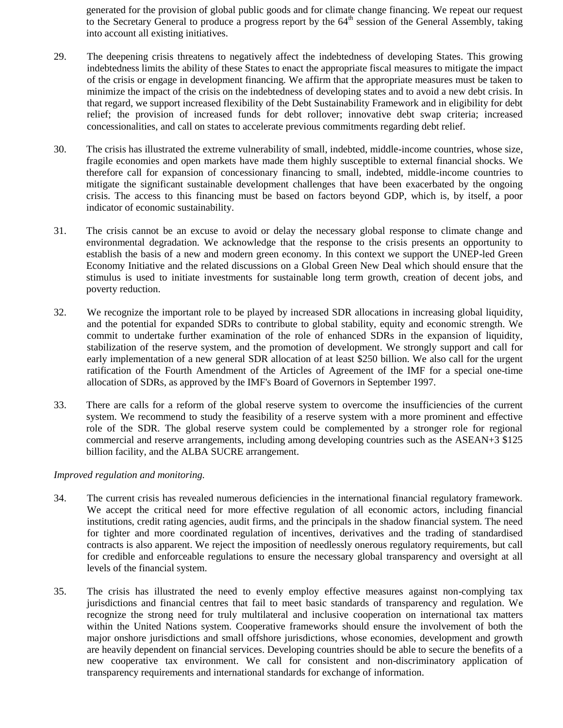generated for the provision of global public goods and for climate change financing. We repeat our request to the Secretary General to produce a progress report by the  $64<sup>th</sup>$  session of the General Assembly, taking into account all existing initiatives.

- 29. The deepening crisis threatens to negatively affect the indebtedness of developing States. This growing indebtedness limits the ability of these States to enact the appropriate fiscal measures to mitigate the impact of the crisis or engage in development financing. We affirm that the appropriate measures must be taken to minimize the impact of the crisis on the indebtedness of developing states and to avoid a new debt crisis. In that regard, we support increased flexibility of the Debt Sustainability Framework and in eligibility for debt relief; the provision of increased funds for debt rollover; innovative debt swap criteria; increased concessionalities, and call on states to accelerate previous commitments regarding debt relief.
- 30. The crisis has illustrated the extreme vulnerability of small, indebted, middle-income countries, whose size, fragile economies and open markets have made them highly susceptible to external financial shocks. We therefore call for expansion of concessionary financing to small, indebted, middle-income countries to mitigate the significant sustainable development challenges that have been exacerbated by the ongoing crisis. The access to this financing must be based on factors beyond GDP, which is, by itself, a poor indicator of economic sustainability.
- 31. The crisis cannot be an excuse to avoid or delay the necessary global response to climate change and environmental degradation. We acknowledge that the response to the crisis presents an opportunity to establish the basis of a new and modern green economy. In this context we support the UNEP-led Green Economy Initiative and the related discussions on a Global Green New Deal which should ensure that the stimulus is used to initiate investments for sustainable long term growth, creation of decent jobs, and poverty reduction.
- 32. We recognize the important role to be played by increased SDR allocations in increasing global liquidity, and the potential for expanded SDRs to contribute to global stability, equity and economic strength. We commit to undertake further examination of the role of enhanced SDRs in the expansion of liquidity, stabilization of the reserve system, and the promotion of development. We strongly support and call for early implementation of a new general SDR allocation of at least \$250 billion. We also call for the urgent ratification of the Fourth Amendment of the Articles of Agreement of the IMF for a special one-time allocation of SDRs, as approved by the IMF's Board of Governors in September 1997.
- 33. There are calls for a reform of the global reserve system to overcome the insufficiencies of the current system. We recommend to study the feasibility of a reserve system with a more prominent and effective role of the SDR. The global reserve system could be complemented by a stronger role for regional commercial and reserve arrangements, including among developing countries such as the ASEAN+3 \$125 billion facility, and the ALBA SUCRE arrangement.

#### *Improved regulation and monitoring.*

- 34. The current crisis has revealed numerous deficiencies in the international financial regulatory framework. We accept the critical need for more effective regulation of all economic actors, including financial institutions, credit rating agencies, audit firms, and the principals in the shadow financial system. The need for tighter and more coordinated regulation of incentives, derivatives and the trading of standardised contracts is also apparent. We reject the imposition of needlessly onerous regulatory requirements, but call for credible and enforceable regulations to ensure the necessary global transparency and oversight at all levels of the financial system.
- 35. The crisis has illustrated the need to evenly employ effective measures against non-complying tax jurisdictions and financial centres that fail to meet basic standards of transparency and regulation. We recognize the strong need for truly multilateral and inclusive cooperation on international tax matters within the United Nations system. Cooperative frameworks should ensure the involvement of both the major onshore jurisdictions and small offshore jurisdictions, whose economies, development and growth are heavily dependent on financial services. Developing countries should be able to secure the benefits of a new cooperative tax environment. We call for consistent and non-discriminatory application of transparency requirements and international standards for exchange of information.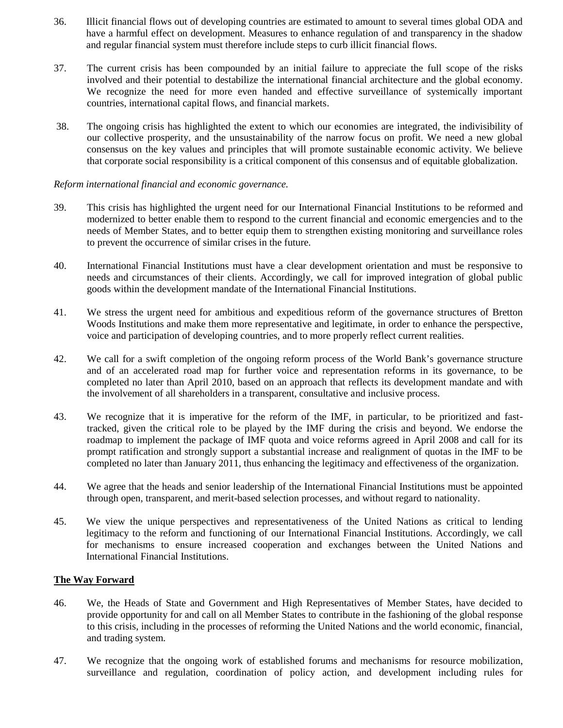- 36. Illicit financial flows out of developing countries are estimated to amount to several times global ODA and have a harmful effect on development. Measures to enhance regulation of and transparency in the shadow and regular financial system must therefore include steps to curb illicit financial flows.
- 37. The current crisis has been compounded by an initial failure to appreciate the full scope of the risks involved and their potential to destabilize the international financial architecture and the global economy. We recognize the need for more even handed and effective surveillance of systemically important countries, international capital flows, and financial markets.
- 38. The ongoing crisis has highlighted the extent to which our economies are integrated, the indivisibility of our collective prosperity, and the unsustainability of the narrow focus on profit. We need a new global consensus on the key values and principles that will promote sustainable economic activity. We believe that corporate social responsibility is a critical component of this consensus and of equitable globalization.

#### *Reform international financial and economic governance.*

- 39. This crisis has highlighted the urgent need for our International Financial Institutions to be reformed and modernized to better enable them to respond to the current financial and economic emergencies and to the needs of Member States, and to better equip them to strengthen existing monitoring and surveillance roles to prevent the occurrence of similar crises in the future.
- 40. International Financial Institutions must have a clear development orientation and must be responsive to needs and circumstances of their clients. Accordingly, we call for improved integration of global public goods within the development mandate of the International Financial Institutions.
- 41. We stress the urgent need for ambitious and expeditious reform of the governance structures of Bretton Woods Institutions and make them more representative and legitimate, in order to enhance the perspective, voice and participation of developing countries, and to more properly reflect current realities.
- 42. We call for a swift completion of the ongoing reform process of the World Bank's governance structure and of an accelerated road map for further voice and representation reforms in its governance, to be completed no later than April 2010, based on an approach that reflects its development mandate and with the involvement of all shareholders in a transparent, consultative and inclusive process.
- 43. We recognize that it is imperative for the reform of the IMF, in particular, to be prioritized and fasttracked, given the critical role to be played by the IMF during the crisis and beyond. We endorse the roadmap to implement the package of IMF quota and voice reforms agreed in April 2008 and call for its prompt ratification and strongly support a substantial increase and realignment of quotas in the IMF to be completed no later than January 2011, thus enhancing the legitimacy and effectiveness of the organization.
- 44. We agree that the heads and senior leadership of the International Financial Institutions must be appointed through open, transparent, and merit-based selection processes, and without regard to nationality.
- 45. We view the unique perspectives and representativeness of the United Nations as critical to lending legitimacy to the reform and functioning of our International Financial Institutions. Accordingly, we call for mechanisms to ensure increased cooperation and exchanges between the United Nations and International Financial Institutions.

#### **The Way Forward**

- 46. We, the Heads of State and Government and High Representatives of Member States, have decided to provide opportunity for and call on all Member States to contribute in the fashioning of the global response to this crisis, including in the processes of reforming the United Nations and the world economic, financial, and trading system.
- 47. We recognize that the ongoing work of established forums and mechanisms for resource mobilization, surveillance and regulation, coordination of policy action, and development including rules for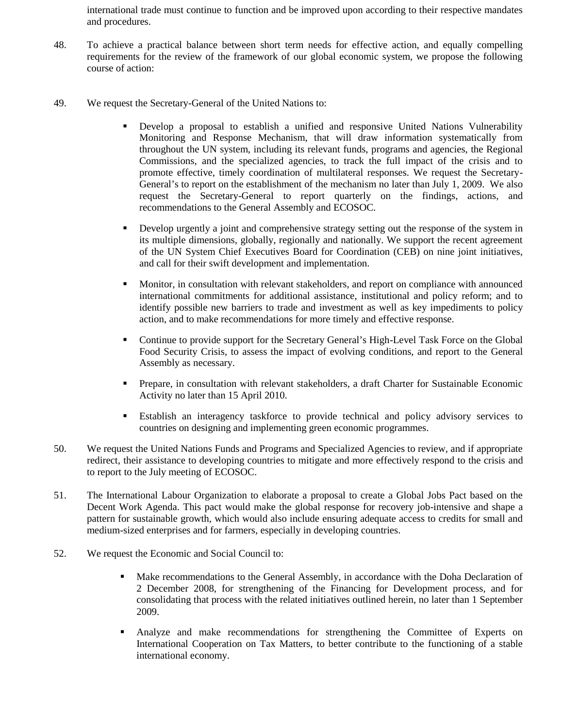international trade must continue to function and be improved upon according to their respective mandates and procedures.

- 48. To achieve a practical balance between short term needs for effective action, and equally compelling requirements for the review of the framework of our global economic system, we propose the following course of action:
- 49. We request the Secretary-General of the United Nations to:
	- Develop a proposal to establish a unified and responsive United Nations Vulnerability Monitoring and Response Mechanism, that will draw information systematically from throughout the UN system, including its relevant funds, programs and agencies, the Regional Commissions, and the specialized agencies, to track the full impact of the crisis and to promote effective, timely coordination of multilateral responses. We request the Secretary-General's to report on the establishment of the mechanism no later than July 1, 2009. We also request the Secretary-General to report quarterly on the findings, actions, and recommendations to the General Assembly and ECOSOC.
	- Develop urgently a joint and comprehensive strategy setting out the response of the system in its multiple dimensions, globally, regionally and nationally. We support the recent agreement of the UN System Chief Executives Board for Coordination (CEB) on nine joint initiatives, and call for their swift development and implementation.
	- Monitor, in consultation with relevant stakeholders, and report on compliance with announced international commitments for additional assistance, institutional and policy reform; and to identify possible new barriers to trade and investment as well as key impediments to policy action, and to make recommendations for more timely and effective response.
	- Continue to provide support for the Secretary General's High-Level Task Force on the Global Food Security Crisis, to assess the impact of evolving conditions, and report to the General Assembly as necessary.
	- **Prepare, in consultation with relevant stakeholders, a draft Charter for Sustainable Economic** Activity no later than 15 April 2010.
	- Establish an interagency taskforce to provide technical and policy advisory services to countries on designing and implementing green economic programmes.
- 50. We request the United Nations Funds and Programs and Specialized Agencies to review, and if appropriate redirect, their assistance to developing countries to mitigate and more effectively respond to the crisis and to report to the July meeting of ECOSOC.
- 51. The International Labour Organization to elaborate a proposal to create a Global Jobs Pact based on the Decent Work Agenda. This pact would make the global response for recovery job-intensive and shape a pattern for sustainable growth, which would also include ensuring adequate access to credits for small and medium-sized enterprises and for farmers, especially in developing countries.
- 52. We request the Economic and Social Council to:
	- Make recommendations to the General Assembly, in accordance with the Doha Declaration of 2 December 2008, for strengthening of the Financing for Development process, and for consolidating that process with the related initiatives outlined herein, no later than 1 September 2009.
	- Analyze and make recommendations for strengthening the Committee of Experts on International Cooperation on Tax Matters, to better contribute to the functioning of a stable international economy.